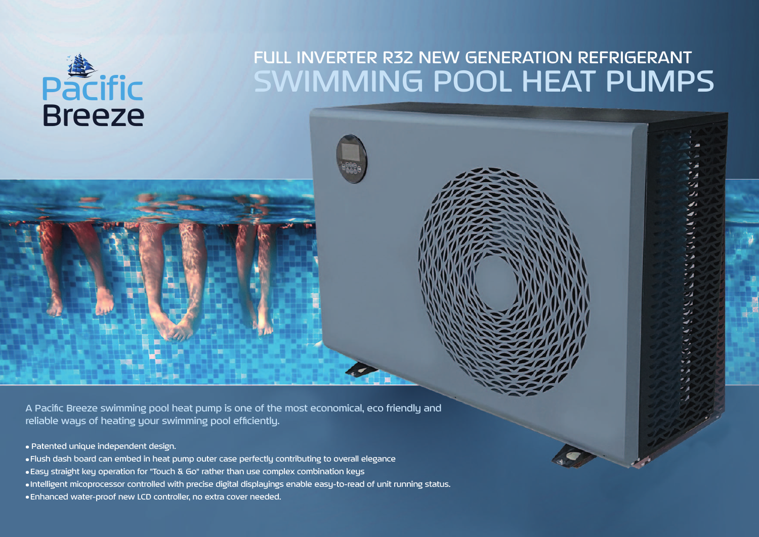

## SWIMMING POOL HEAT PUMPS FULL INVERTER R32 NEW GENERATION REFRIGERANT

A Pacific Breeze swimming pool heat pump is one of the most economical, eco friendly and reliable ways of heating your swimming pool efficiently.

- Patented unique independent design.
- Flush dash board can embed in heat pump outer case perfectly contributing to overall elegance
- Easy straight key operation for "Touch & Go" rather than use complex combination keys
- Intelligent micoprocessor controlled with precise digital displayings enable easy-to-read of unit running status.
- Enhanced water-proof new LCD controller, no extra cover needed.